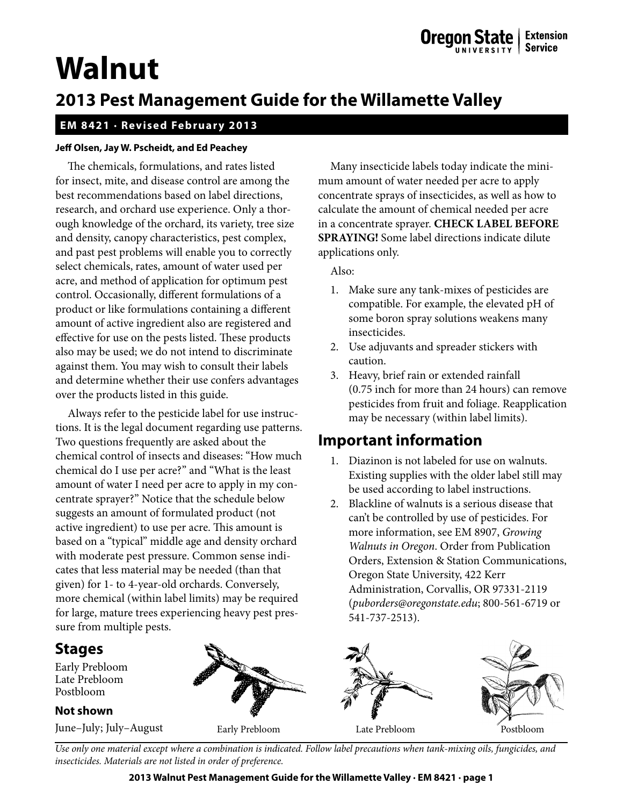# **Walnut**

# **2013 Pest Management Guide for the Willamette Valley**

### **EM 8421 · Revised February 2013**

#### **Jeff Olsen, Jay W. Pscheidt, and Ed Peachey**

The chemicals, formulations, and rates listed for insect, mite, and disease control are among the best recommendations based on label directions, research, and orchard use experience. Only a thorough knowledge of the orchard, its variety, tree size and density, canopy characteristics, pest complex, and past pest problems will enable you to correctly select chemicals, rates, amount of water used per acre, and method of application for optimum pest control. Occasionally, different formulations of a product or like formulations containing a different amount of active ingredient also are registered and effective for use on the pests listed. These products also may be used; we do not intend to discriminate against them. You may wish to consult their labels and determine whether their use confers advantages over the products listed in this guide.

Always refer to the pesticide label for use instructions. It is the legal document regarding use patterns. Two questions frequently are asked about the chemical control of insects and diseases: "How much chemical do I use per acre?" and "What is the least amount of water I need per acre to apply in my concentrate sprayer?" Notice that the schedule below suggests an amount of formulated product (not active ingredient) to use per acre. This amount is based on a "typical" middle age and density orchard with moderate pest pressure. Common sense indicates that less material may be needed (than that given) for 1- to 4-year-old orchards. Conversely, more chemical (within label limits) may be required for large, mature trees experiencing heavy pest pressure from multiple pests.

## **Stages**

Early Prebloom Late Prebloom Postbloom

#### **Not shown**

Many insecticide labels today indicate the minimum amount of water needed per acre to apply concentrate sprays of insecticides, as well as how to calculate the amount of chemical needed per acre in a concentrate sprayer. **CHECK LABEL BEFORE SPRAYING!** Some label directions indicate dilute applications only.

Also:

- 1. Make sure any tank-mixes of pesticides are compatible. For example, the elevated pH of some boron spray solutions weakens many insecticides.
- 2. Use adjuvants and spreader stickers with caution.
- 3. Heavy, brief rain or extended rainfall (0.75 inch for more than 24 hours) can remove pesticides from fruit and foliage. Reapplication may be necessary (within label limits).

# **Important information**

- 1. Diazinon is not labeled for use on walnuts. Existing supplies with the older label still may be used according to label instructions.
- 2. Blackline of walnuts is a serious disease that can't be controlled by use of pesticides. For more information, see EM 8907, *Growing Walnuts in Oregon*. Order from Publication Orders, Extension & Station Communications, Oregon State University, 422 Kerr Administration, Corvallis, OR 97331-2119 (*puborders@oregonstate.edu*; 800-561-6719 or 541-737-2513).



*Use only one material except where a combination is indicated. Follow label precautions when tank-mixing oils, fungicides, and insecticides. Materials are not listed in order of preference.*

**2013 Walnut Pest Management Guide for the Willamette Valley · EM 8421 · page 1**